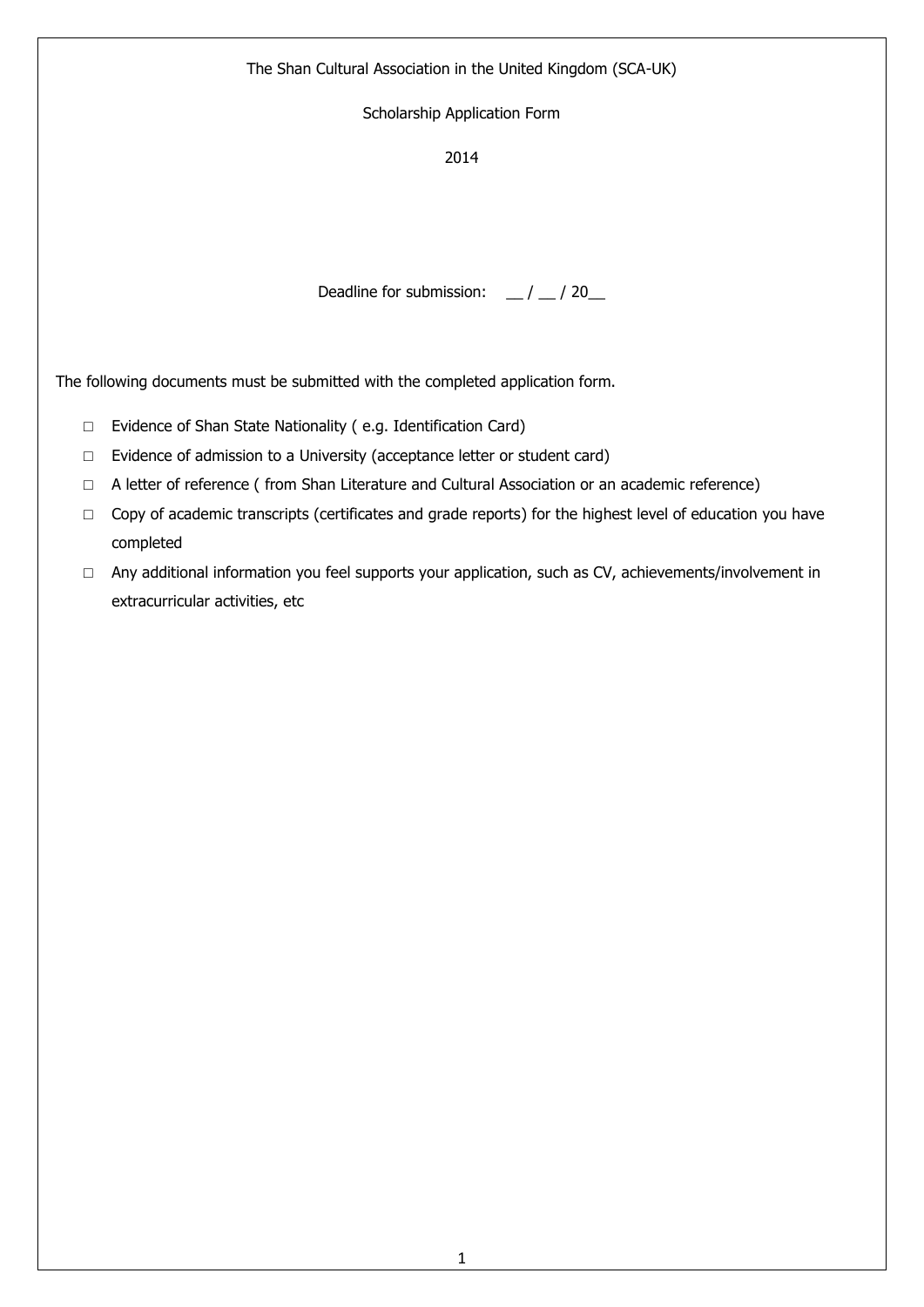### The Shan Cultural Association in the United Kingdom (SCA-UK)

#### Scholarship Application Form

2014

Deadline for submission:  $\angle$  /  $\angle$  / 20

The following documents must be submitted with the completed application form.

- □ Evidence of Shan State Nationality ( e.g. Identification Card)
- □ Evidence of admission to a University (acceptance letter or student card)
- □ A letter of reference (from Shan Literature and Cultural Association or an academic reference)
- □ Copy of academic transcripts (certificates and grade reports) for the highest level of education you have completed
- □ Any additional information you feel supports your application, such as CV, achievements/involvement in extracurricular activities, etc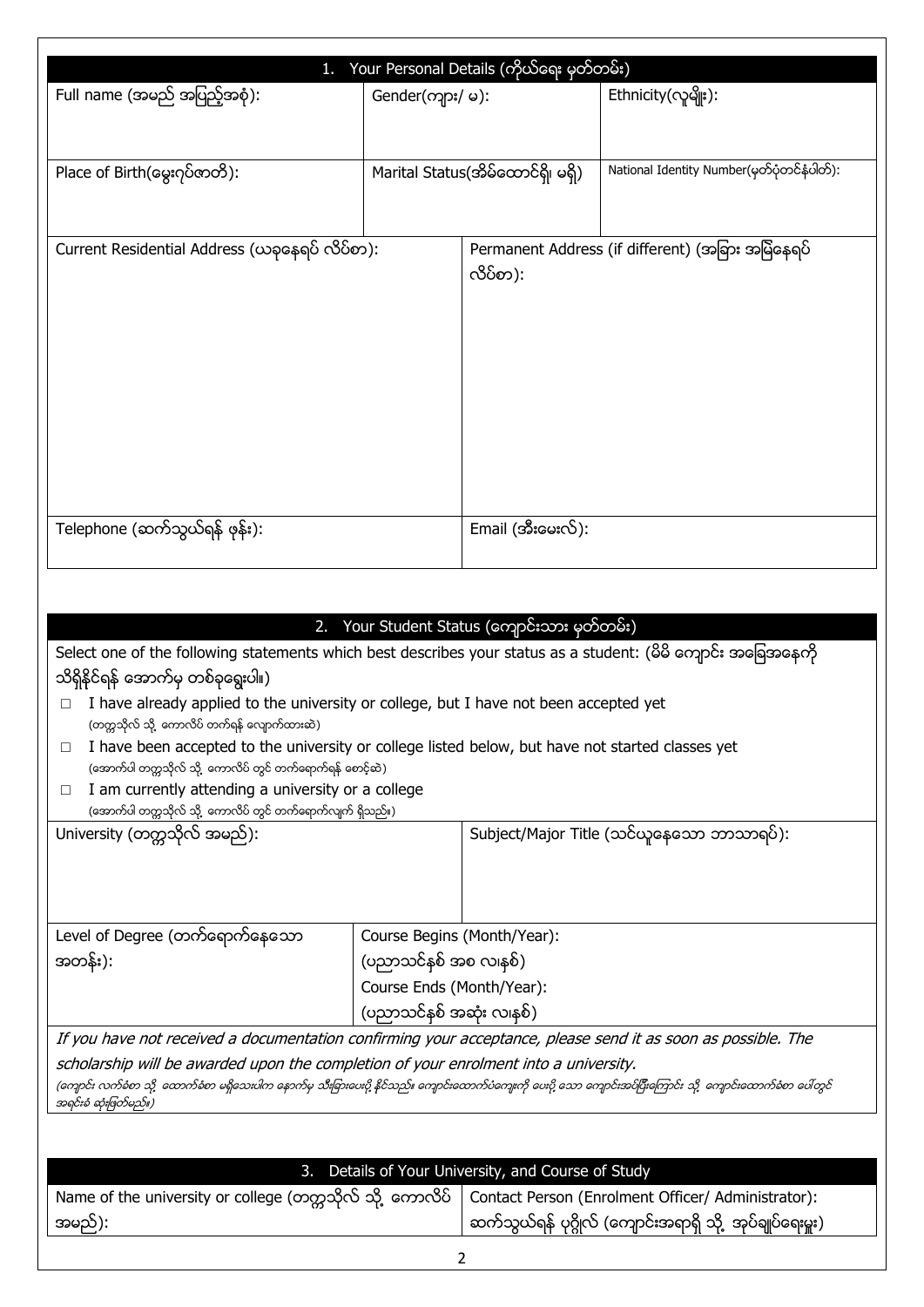| 1.                                             |                  | Your Personal Details (ကိုယ်ရေး မှတ်တမ်း) |                                                   |
|------------------------------------------------|------------------|-------------------------------------------|---------------------------------------------------|
| Full name (အမည် အပြည့်အစုံ):                   | Gender(ကျား/ မ): |                                           | Ethnicity(လူမျိုး):                               |
| Place of Birth(မွေးဂုပ်ဇာတိ):                  |                  | Marital Status(အိမ်ထောင်ရှိ၊ မရှိ)        | National Identity Number(မှတ်ပုံတင်နံပါတ်):       |
| Current Residential Address (ယခုနေရပ် လိပ်စာ): |                  | လိပ်စာ):                                  | Permanent Address (if different) (အခြား အမြဲနေရပ် |
| Telephone (ဆက်သွယ်ရန် ဖုန်း):                  |                  | Email $($ အီးမေးလ် $)$ :                  |                                                   |

| 2. Your Student Status (ကျောင်းသား မှတ်တမ်း)                                                                                                                             |                             |                                                                                                                                                            |
|--------------------------------------------------------------------------------------------------------------------------------------------------------------------------|-----------------------------|------------------------------------------------------------------------------------------------------------------------------------------------------------|
| Select one of the following statements which best describes your status as a student: (မိမိ ကျောင်း အခြေအနေကို                                                           |                             |                                                                                                                                                            |
| သိရှိနိုင်ရန် အောက်မှ တစ်ခုရွေးပါ။)                                                                                                                                      |                             |                                                                                                                                                            |
| I have already applied to the university or college, but I have not been accepted yet<br>$\Box$<br>(တက္ကသိုလ် သို့ ကောလိပ် တက်ရန် လျောက်ထားဆဲ)                           |                             |                                                                                                                                                            |
| I have been accepted to the university or college listed below, but have not started classes yet<br>$\Box$<br>(အောက်ပါ တက္ကသိုလ် သို့ ကောလိပ် တွင် တက်ရောက်ရန် စောင့်ဆဲ) |                             |                                                                                                                                                            |
| I am currently attending a university or a college<br>$\Box$                                                                                                             |                             |                                                                                                                                                            |
| (အောက်ပါ တက္ကသိုလ် သို့ ကောလိပ် တွင် တက်ရောက်လျက် ရှိသည်။)                                                                                                               |                             |                                                                                                                                                            |
| University (တက္ကသိုလ် အမည်):                                                                                                                                             |                             | Subject/Major Title (သင်ယူနေသော ဘာသာရပ်):                                                                                                                  |
|                                                                                                                                                                          |                             |                                                                                                                                                            |
|                                                                                                                                                                          |                             |                                                                                                                                                            |
| Level of Degree (တက်ရောက်နေသော                                                                                                                                           | Course Begins (Month/Year): |                                                                                                                                                            |
| အတန်း):                                                                                                                                                                  | (ပညာသင်နစ် အစ လ၊နစ်)        |                                                                                                                                                            |
|                                                                                                                                                                          | Course Ends (Month/Year):   |                                                                                                                                                            |
| (ပညာသင်နစ် အဆုံး လ၊နစ်)                                                                                                                                                  |                             |                                                                                                                                                            |
| If you have not received a documentation confirming your acceptance, please send it as soon as possible. The                                                             |                             |                                                                                                                                                            |
| scholarship will be awarded upon the completion of your enrolment into a university.                                                                                     |                             |                                                                                                                                                            |
|                                                                                                                                                                          |                             | (ကျောင်း လက်ခံစာ သို့ ထောက်ခံစာ မရှိသေးပါက နောက်မှ သီးခြားပေးပို့ နိုင်သည်။ ကျောင်းထောက်ပံကျေးကို ပေးပို့ သောင်းမြီးမကြာင်း သို့ ကျောင်းထောက်ခံစာ ပေါ်တွင် |

3. Details of Your University, and Course of Study Name of the university or college (တက္ကသိုလ် သို့ ေကာလိပ် အမညး): Contact Person (Enrolment Officer/ Administrator): ဆက်သွယ်ရန် ပုဂ္ဂိုလ် (ကျောင်းအရာရှိ သို့ အုပ်ချုပ်ရေးမှူး)

အရင်းခံ ဆုံးဖြတ်မည်။)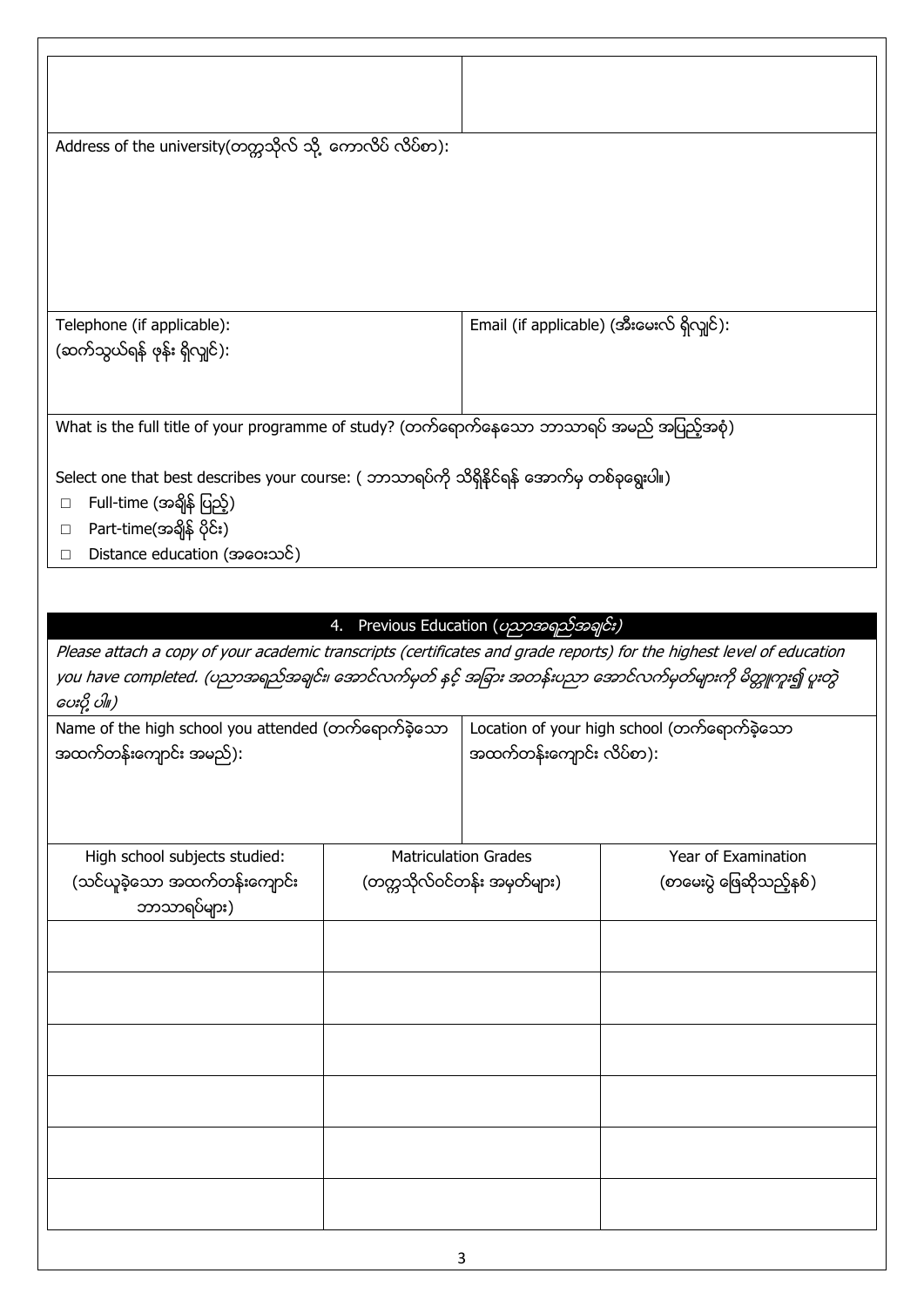| Address of the university(တက္ကသိုလ် သို့ ကောလိပ် လိပ်စာ):                                    |                                            |  |
|----------------------------------------------------------------------------------------------|--------------------------------------------|--|
|                                                                                              |                                            |  |
|                                                                                              |                                            |  |
|                                                                                              |                                            |  |
|                                                                                              |                                            |  |
|                                                                                              |                                            |  |
|                                                                                              |                                            |  |
|                                                                                              |                                            |  |
| Telephone (if applicable):                                                                   | Email (if applicable) (အီးမေးလ် ရှိလျှင်): |  |
| (ဆက်သွယ်ရန် ဖုန်း ရှိလျှင်):                                                                 |                                            |  |
|                                                                                              |                                            |  |
|                                                                                              |                                            |  |
|                                                                                              |                                            |  |
| What is the full title of your programme of study? (တက်ရောက်နေသော ဘာသာရပ် အမည် အပြည့်အစုံ)   |                                            |  |
|                                                                                              |                                            |  |
| Select one that best describes your course: ( ဘာသာရပ်ကို သိရှိနိုင်ရန် အောက်မှ တစ်ခုရွေးပါ။) |                                            |  |
| Full-time (အရှိန် ပြည့်)<br>$\Box$                                                           |                                            |  |
| Part-time(အရှိန် ပိုင်း)<br>$\Box$                                                           |                                            |  |
|                                                                                              |                                            |  |

 $\Box$  Distance education (အ၀ေးသင်)

# 4. Previous Education (*ပညာအရည်အချင်း)*

Please attach a copy of your academic transcripts (certificates and grade reports) for the highest level of education you have completed. (ပညာအရည်အချင်း၊ အောင်လက်မှတ် နှင့် အခြား အတန်းပညာ အောင်လက်မှတ်များကို မိတ္တူကူး၍ ပူးတွဲ ေပ့ပို ံပါ။)

| Name of the high school you attended (တက်ရောက်ခဲ့သော   Location of your high school (တက်ရောက်ခဲ့သော |                          |
|-----------------------------------------------------------------------------------------------------|--------------------------|
| အထက်တန်းကျောင်း အမည်):                                                                              | အထက်တန်းကျောင်း လိပ်စာ): |

| High school subjects studied:                | <b>Matriculation Grades</b><br>(တက္ကသိုလ်ဝင်တန်း အမှတ်များ) |  | Year of Examination      |
|----------------------------------------------|-------------------------------------------------------------|--|--------------------------|
| (သင်ယူခဲ့သော အထက်တန်းကျောင်း<br>ဘာသာရပ်များ) |                                                             |  | (စာမေးပွဲ ဖြေဆိုသည့်နစ်) |
|                                              |                                                             |  |                          |
|                                              |                                                             |  |                          |
|                                              |                                                             |  |                          |
|                                              |                                                             |  |                          |
|                                              |                                                             |  |                          |
|                                              |                                                             |  |                          |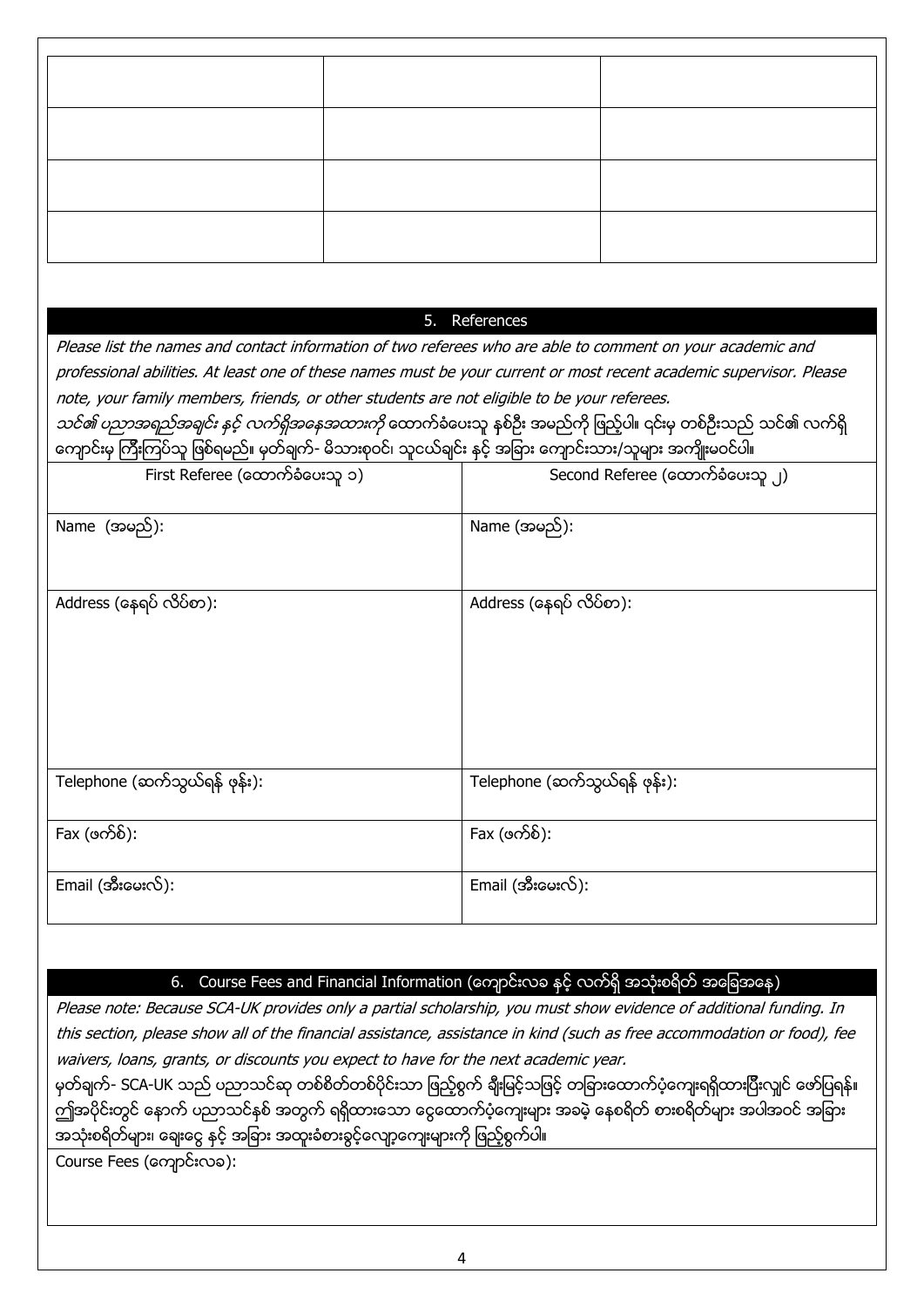5. References

Please list the names and contact information of two referees who are able to comment on your academic and professional abilities. At least one of these names must be your current or most recent academic supervisor. Please note, your family members, friends, or other students are not eligible to be your referees. *သင်၏ ပညာအရည်အချင်း နှင့် လက်ရှိအနေအထားကို* ထောက်ခံပေးသူ နှစ်ဦး အမည်ကို ဖြည့်ပါ။ ၎င်းမှ တစ်ဦးသည် သင်၏ လက်ရှိ ကောင်းမှ ကြီးကြပ်သ ဖြစ်ရမည်။ မတ်ချက်- မိသားစုဝင်၊ သငယ်ချင်း နှင် အခြား ကောင်းသား/သူများ အကျိုးမဝင်ပါ။

| စ်ကျာမီးမှ ကြိုက်သူမှ မြစ်ရတေ။ ဗိုတ်မျက် တော်းမှာပဲ၊ သူမထများ နှင့် အမြား စကျာမီးထား သူများ မီးကျုံးမောင်။ |                                 |
|------------------------------------------------------------------------------------------------------------|---------------------------------|
| First Referee (ထောက်ခံပေးသူ ၁)                                                                             | Second Referee (ထောက်ခံပေးသူ ၂) |
| Name (အမည်):                                                                                               | Name (အမည်):                    |
| Address (နေရပ် လိပ်စာ):                                                                                    | Address (နေရပ် လိပ်စာ):         |
| Telephone (ဆက်သွယ်ရန် ဖုန်း):                                                                              | Telephone (ဆက်သွယ်ရန် ဖုန်း):   |
| Fax (ဖက်စ်):                                                                                               | Fax (ဖက်စ်):                    |
| Email $($ အီးမေးလ် $)$ :                                                                                   | Email $($ အီးမေးလ် $)$ :        |

### 6. Course Fees and Financial Information (ကျောင်းလခ နင့် လက်ရှိ အသုံးစရိတ် အခြေအနေ)

Please note: Because SCA-UK provides only a partial scholarship, you must show evidence of additional funding. In this section, please show all of the financial assistance, assistance in kind (such as free accommodation or food), fee waivers, loans, grants, or discounts you expect to have for the next academic year.

မှတ်ချက်- SCA-UK သည် ပညာသင်ဆု တစ်စိတ်တစ်ပိုင်းသာ ဖြည့်စွက် ချီးမြင့်သဖြင့် တခြားထောက်ပံ့ကျေးရရှိထားပြီးလျှင် ဖော်ပြရန်။ ဤအပိုင်းတွင် နောက် ပညာသင်နှစ် အတွက် ရရှိထားသော ငွေထောက်ပံ့ကျေးများ အခမဲ့ နေစရိတ် စားစရိတ်များ အပါအဝင် အခြား အသုံးစရိတ်များ၊ ေချးငွေ နင့် အခြား အထူးခံစားခွင့်လျော့ကျေးများကို ဖြည့်စွက်ပါ။

Course Fees (ေက္ာငး့လခ):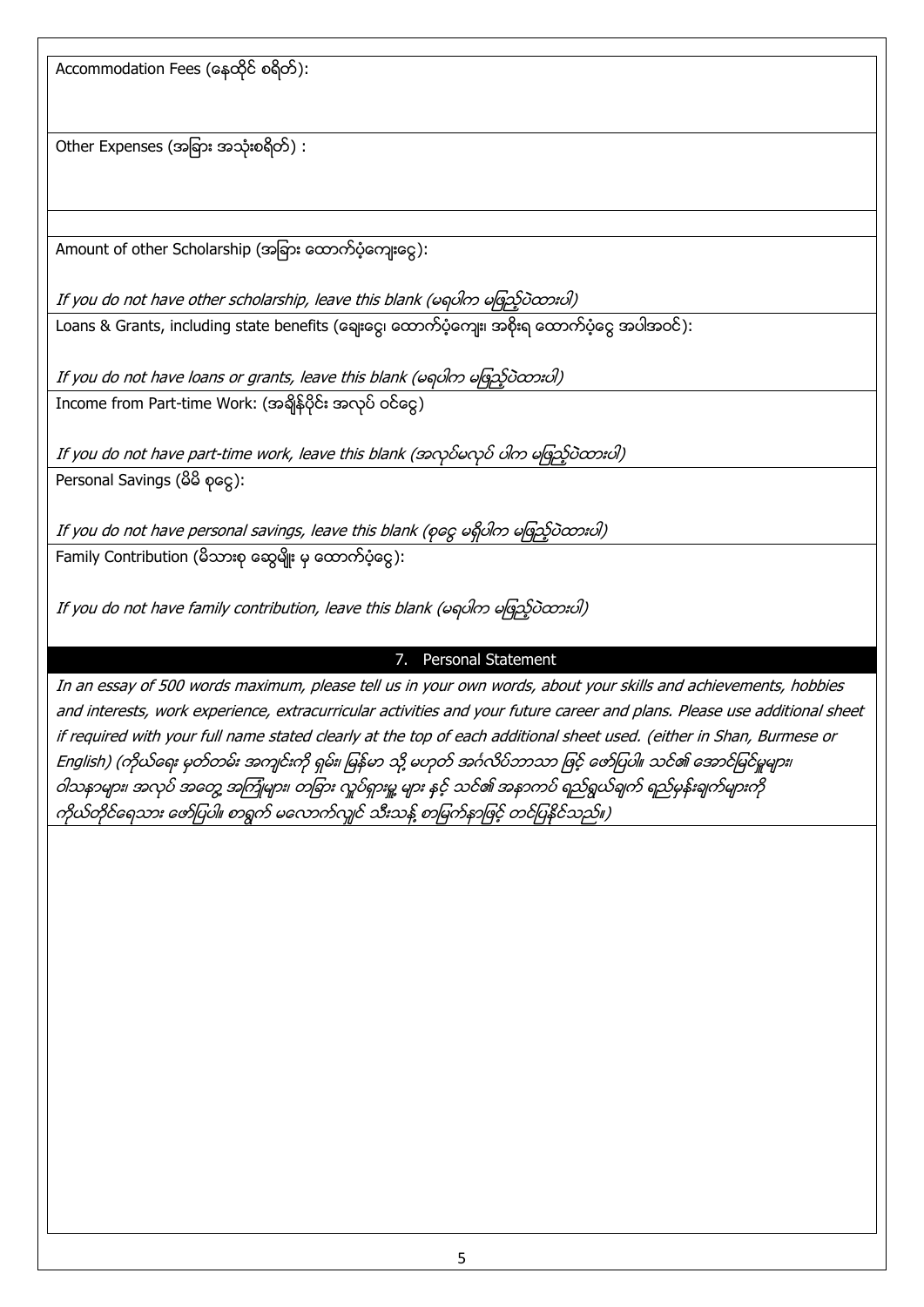Accommodation Fees (နေထိုင် စရိတ်):

Other Expenses (အခြား အသုံးစရိတ်) :

Amount of other Scholarship (အခြား ေထာက်ပံ့ကျေးငွေ):

If you do not have other scholarship, leave this blank (မရပါက မဖြည့်ပဲထားပါ)

Loans & Grants, including state benefits (ေခ့္ေငျ၊ ေထာကးပဵံေက့္၊ အစို့ရ ေထာကးပဵံေငျ အပါအွငး):

If you do not have loans or grants, leave this blank (မရပါက မဖြည့်ပဲထားပါ) Income from Part-time Work: (အချိန်ပိုင်း အလုပ် ဝင်ငွေ)

If you do not have part-time work, leave this blank (အလုပ်မလုပ် ပါက မဖြည့်ပဲထားပါ) Personal Savings (မိမိ စုငွေ):

If you do not have personal savings, leave this blank (စုငွေ မရှိပါက မဖြည့်ပဲထားပါ) Family Contribution (မိသားစု ဆွေမျိုး မှ ထောက်ပံ့ငွေ):

If you do not have family contribution, leave this blank (မရပါက မဖြည့်ပဲထားပါ)

## 7. Personal Statement

In an essay of 500 words maximum, please tell us in your own words, about your skills and achievements, hobbies and interests, work experience, extracurricular activities and your future career and plans. Please use additional sheet if required with your full name stated clearly at the top of each additional sheet used. (either in Shan, Burmese or English) (ကိုယ်ရေး မှတ်တမ်း အကျင်းကို ရှမ်း၊ မြန်မာ သို့ မဟုတ် အင်္ဂလိပ်ဘာသာ ဖြင့် ဖော်ပြပါ။ သင်၏ အောင်မြင်မှုများ၊ ဝါသနာများ၊ အလုပ် အတွေ့ အကြုံများ၊ တခြား လှုပ်ရှားမှူ့ များ နှင့် သင်၏ အနာကပ် ရည်ရွယ်ချက် ရည်မှန်းချက်များကို ကိုယ်တိုင်ရေသား ဖော်ပြပါ။ စာရွက် မလောက်လျှင် သီးသန့် စာမြက်နာဖြင့် တင်ပြနိုင်သည်။)